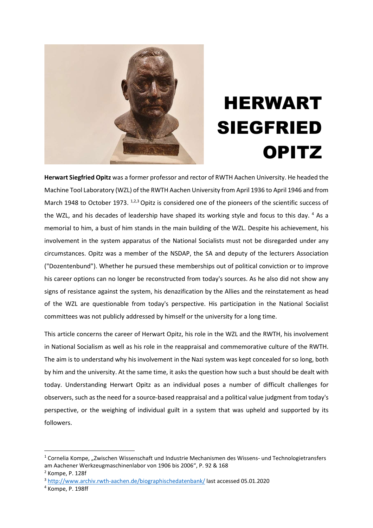

# HERWART SIEGFRIED **OPITZ**

Herwart Siegfried Opitz was a former professor and rector of RWTH Aachen University. He headed the Machine Tool Laboratory (WZL) of the RWTH Aachen University from April 1936 to April 1946 and from March 1948 to October 1973. <sup>1,2,3</sup> Opitz is considered one of the pioneers of the scientific success of the WZL, and his decades of leadership have shaped its working style and focus to this day. <sup>4</sup> As a memorial to him, a bust of him stands in the main building of the WZL. Despite his achievement, his involvement in the system apparatus of the National Socialists must not be disregarded under any circumstances. Opitz was a member of the NSDAP, the SA and deputy of the lecturers Association ("Dozentenbund"). Whether he pursued these memberships out of political conviction or to improve his career options can no longer be reconstructed from today's sources. As he also did not show any signs of resistance against the system, his denazification by the Allies and the reinstatement as head of the WZL are questionable from today's perspective. His participation in the National Socialist committees was not publicly addressed by himself or the university for a long time.

This article concerns the career of Herwart Opitz, his role in the WZL and the RWTH, his involvement in National Socialism as well as his role in the reappraisal and commemorative culture of the RWTH. The aim is to understand why his involvement in the Nazi system was kept concealed for so long, both by him and the university. At the same time, it asks the question how such a bust should be dealt with today. Understanding Herwart Opitz as an individual poses a number of difficult challenges for observers, such as the need for a source-based reappraisal and a political value judgment from today's perspective, or the weighing of individual guilt in a system that was upheld and supported by its followers.

<sup>&</sup>lt;sup>1</sup> Cornelia Kompe, "Zwischen Wissenschaft und Industrie Mechanismen des Wissens- und Technologietransfers am Aachener Werkzeugmaschinenlabor von 1906 bis 2006", P. 92 & 168

<sup>2</sup> Kompe, P. 128f

<sup>3</sup> http://www.archiv.rwth-aachen.de/biographischedatenbank/ last accessed 05.01.2020

<sup>4</sup> Kompe, P. 198ff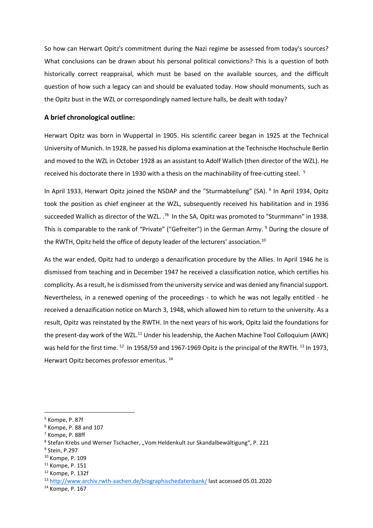So how can Herwart Opitz's commitment during the Nazi regime be assessed from today's sources? What conclusions can be drawn about his personal political convictions? This is a question of both historically correct reappraisal, which must be based on the available sources, and the difficult question of how such a legacy can and should be evaluated today. How should monuments, such as the Opitz bust in the WZL or correspondingly named lecture halls, be dealt with today?

### A brief chronological outline:

Herwart Opitz was born in Wuppertal in 1905. His scientific career began in 1925 at the Technical University of Munich. In 1928, he passed his diploma examination at the Technische Hochschule Berlin and moved to the WZL in October 1928 as an assistant to Adolf Wallich (then director of the WZL). He received his doctorate there in 1930 with a thesis on the machinability of free-cutting steel.<sup>5</sup>

In April 1933, Herwart Opitz joined the NSDAP and the "Sturmabteilung" (SA). <sup>6</sup> In April 1934, Opitz took the position as chief engineer at the WZL, subsequently received his habilitation and in 1936 succeeded Wallich as director of the WZL. .<sup>78</sup> In the SA. Opitz was promoted to "Sturmmann" in 1938. This is comparable to the rank of "Private" ("Gefreiter") in the German Army. <sup>9</sup> During the closure of the RWTH, Opitz held the office of deputy leader of the lecturers' association.<sup>10</sup>

As the war ended, Opitz had to undergo a denazification procedure by the Allies. In April 1946 he is dismissed from teaching and in December 1947 he received a classification notice, which certifies his complicity. As a result, he is dismissed from the university service and was denied any financial support. Nevertheless, in a renewed opening of the proceedings - to which he was not legally entitled - he received a denazification notice on March 3, 1948, which allowed him to return to the university. As a result, Opitz was reinstated by the RWTH. In the next years of his work, Opitz laid the foundations for the present-day work of the WZL.<sup>11</sup> Under his leadership, the Aachen Machine Tool Colloquium (AWK) was held for the first time. <sup>12</sup> In 1958/59 and 1967-1969 Opitz is the principal of the RWTH. <sup>13</sup> In 1973, Herwart Opitz becomes professor emeritus. <sup>14</sup>

<sup>5</sup> Kompe, P. 87f

<sup>6</sup> Kompe, P. 88 and 107

<sup>7</sup> Kompe, P. 88ff

<sup>&</sup>lt;sup>8</sup> Stefan Krebs und Werner Tschacher, "Vom Heldenkult zur Skandalbewältigung", P. 221

<sup>9</sup> Stein, P.297

<sup>10</sup> Kompe, P. 109

<sup>11</sup> Kompe, P. 151

<sup>12</sup> Kompe, P. 132f

<sup>13</sup> http://www.archiv.rwth-aachen.de/biographischedatenbank/ last accessed 05.01.2020

<sup>14</sup> Kompe, P. 167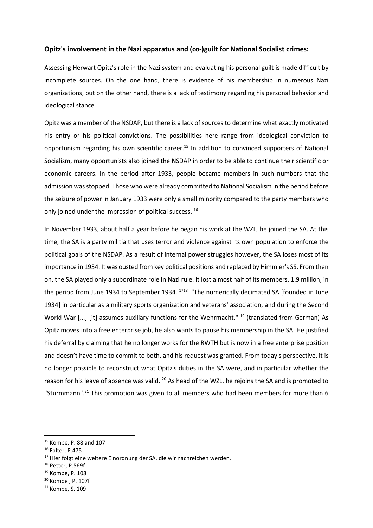#### Opitz's involvement in the Nazi apparatus and (co-)guilt for National Socialist crimes:

Assessing Herwart Opitz's role in the Nazi system and evaluating his personal guilt is made difficult by incomplete sources. On the one hand, there is evidence of his membership in numerous Nazi organizations, but on the other hand, there is a lack of testimony regarding his personal behavior and ideological stance.

Opitz was a member of the NSDAP, but there is a lack of sources to determine what exactly motivated his entry or his political convictions. The possibilities here range from ideological conviction to opportunism regarding his own scientific career.<sup>15</sup> In addition to convinced supporters of National Socialism, many opportunists also joined the NSDAP in order to be able to continue their scientific or economic careers. In the period after 1933, people became members in such numbers that the admission was stopped. Those who were already committed to National Socialism in the period before the seizure of power in January 1933 were only a small minority compared to the party members who only joined under the impression of political success. <sup>16</sup>

In November 1933, about half a year before he began his work at the WZL, he joined the SA. At this time, the SA is a party militia that uses terror and violence against its own population to enforce the political goals of the NSDAP. As a result of internal power struggles however, the SA loses most of its importance in 1934. It was ousted from key political positions and replaced by Himmler's SS. From then on, the SA played only a subordinate role in Nazi rule. It lost almost half of its members, 1.9 million, in the period from June 1934 to September 1934.<sup>1718</sup> "The numerically decimated SA [founded in June 1934] in particular as a military sports organization and veterans' association, and during the Second World War [...] [it] assumes auxiliary functions for the Wehrmacht." <sup>19</sup> (translated from German) As Opitz moves into a free enterprise job, he also wants to pause his membership in the SA. He justified his deferral by claiming that he no longer works for the RWTH but is now in a free enterprise position and doesn't have time to commit to both. and his request was granted. From today's perspective, it is no longer possible to reconstruct what Opitz's duties in the SA were, and in particular whether the reason for his leave of absence was valid. <sup>20</sup> As head of the WZL, he rejoins the SA and is promoted to "Sturmmann".<sup>21</sup> This promotion was given to all members who had been members for more than 6

<sup>15</sup> Kompe, P. 88 and 107

<sup>16</sup> Falter, P.475

<sup>&</sup>lt;sup>17</sup> Hier folgt eine weitere Einordnung der SA, die wir nachreichen werden.

<sup>18</sup> Petter, P.569f

<sup>19</sup> Kompe, P. 108

<sup>20</sup> Kompe , P. 107f

<sup>21</sup> Kompe, S. 109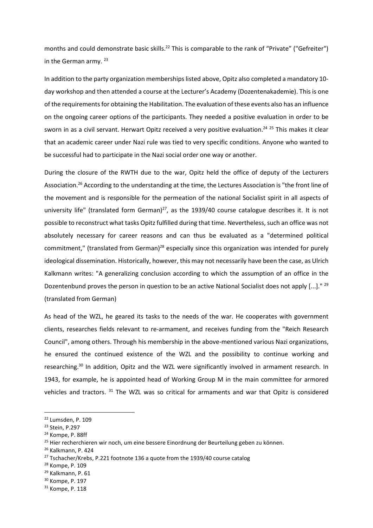months and could demonstrate basic skills.<sup>22</sup> This is comparable to the rank of "Private" ("Gefreiter") in the German army.<sup>23</sup>

In addition to the party organization memberships listed above, Opitz also completed a mandatory 10 day workshop and then attended a course at the Lecturer's Academy (Dozentenakademie). This is one of the requirements for obtaining the Habilitation. The evaluation of these events also has an influence on the ongoing career options of the participants. They needed a positive evaluation in order to be sworn in as a civil servant. Herwart Opitz received a very positive evaluation.<sup>24 25</sup> This makes it clear that an academic career under Nazi rule was tied to very specific conditions. Anyone who wanted to be successful had to participate in the Nazi social order one way or another.

During the closure of the RWTH due to the war, Opitz held the office of deputy of the Lecturers Association.<sup>26</sup> According to the understanding at the time, the Lectures Association is "the front line of the movement and is responsible for the permeation of the national Socialist spirit in all aspects of university life" (translated form German) $27$ , as the 1939/40 course catalogue describes it. It is not possible to reconstruct what tasks Opitz fulfilled during that time. Nevertheless, such an office was not absolutely necessary for career reasons and can thus be evaluated as a "determined political commitment," (translated from German)<sup>28</sup> especially since this organization was intended for purely ideological dissemination. Historically, however, this may not necessarily have been the case, as Ulrich Kalkmann writes: "A generalizing conclusion according to which the assumption of an office in the Dozentenbund proves the person in question to be an active National Socialist does not apply [...]." <sup>29</sup> (translated from German)

As head of the WZL, he geared its tasks to the needs of the war. He cooperates with government clients, researches fields relevant to re-armament, and receives funding from the "Reich Research Council", among others. Through his membership in the above-mentioned various Nazi organizations, he ensured the continued existence of the WZL and the possibility to continue working and researching.<sup>30</sup> In addition, Opitz and the WZL were significantly involved in armament research. In 1943, for example, he is appointed head of Working Group M in the main committee for armored vehicles and tractors. <sup>31</sup> The WZL was so critical for armaments and war that Opitz is considered

<sup>30</sup> Kompe, P. 197

<sup>22</sup> Lumsden, P. 109

<sup>23</sup> Stein, P.297

<sup>24</sup> Kompe, P. 88ff

<sup>&</sup>lt;sup>25</sup> Hier recherchieren wir noch, um eine bessere Einordnung der Beurteilung geben zu können.

<sup>26</sup> Kalkmann, P. 424

<sup>&</sup>lt;sup>27</sup> Tschacher/Krebs, P.221 footnote 136 a quote from the 1939/40 course catalog

<sup>28</sup> Kompe, P. 109

<sup>29</sup> Kalkmann, P. 61

<sup>31</sup> Kompe, P. 118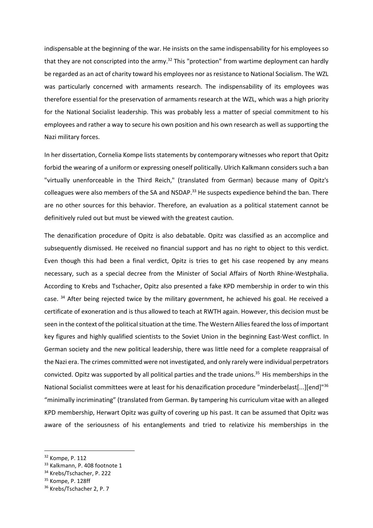indispensable at the beginning of the war. He insists on the same indispensability for his employees so that they are not conscripted into the army.<sup>32</sup> This "protection" from wartime deployment can hardly be regarded as an act of charity toward his employees nor as resistance to National Socialism. The WZL was particularly concerned with armaments research. The indispensability of its employees was therefore essential for the preservation of armaments research at the WZL, which was a high priority for the National Socialist leadership. This was probably less a matter of special commitment to his employees and rather a way to secure his own position and his own research as well as supporting the Nazi military forces.

In her dissertation, Cornelia Kompe lists statements by contemporary witnesses who report that Opitz forbid the wearing of a uniform or expressing oneself politically. Ulrich Kalkmann considers such a ban "virtually unenforceable in the Third Reich," (translated from German) because many of Opitz's colleagues were also members of the SA and NSDAP.<sup>33</sup> He suspects expedience behind the ban. There are no other sources for this behavior. Therefore, an evaluation as a political statement cannot be definitively ruled out but must be viewed with the greatest caution.

The denazification procedure of Opitz is also debatable. Opitz was classified as an accomplice and subsequently dismissed. He received no financial support and has no right to object to this verdict. Even though this had been a final verdict, Opitz is tries to get his case reopened by any means necessary, such as a special decree from the Minister of Social Affairs of North Rhine-Westphalia. According to Krebs and Tschacher, Opitz also presented a fake KPD membership in order to win this case. <sup>34</sup> After being rejected twice by the military government, he achieved his goal. He received a certificate of exoneration and is thus allowed to teach at RWTH again. However, this decision must be seen in the context of the political situation at the time. The Western Allies feared the loss of important key figures and highly qualified scientists to the Soviet Union in the beginning East-West conflict. In German society and the new political leadership, there was little need for a complete reappraisal of the Nazi era. The crimes committed were not investigated, and only rarely were individual perpetrators convicted. Opitz was supported by all political parties and the trade unions.<sup>35</sup> His memberships in the National Socialist committees were at least for his denazification procedure "minderbelast[...][end]"<sup>36</sup> "minimally incriminating" (translated from German. By tampering his curriculum vitae with an alleged KPD membership, Herwart Opitz was guilty of covering up his past. It can be assumed that Opitz was aware of the seriousness of his entanglements and tried to relativize his memberships in the

<sup>32</sup> Kompe, P. 112

<sup>33</sup> Kalkmann, P. 408 footnote 1

<sup>&</sup>lt;sup>34</sup> Krebs/Tschacher, P. 222

<sup>35</sup> Kompe, P. 128ff

<sup>36</sup> Krebs/Tschacher 2, P. 7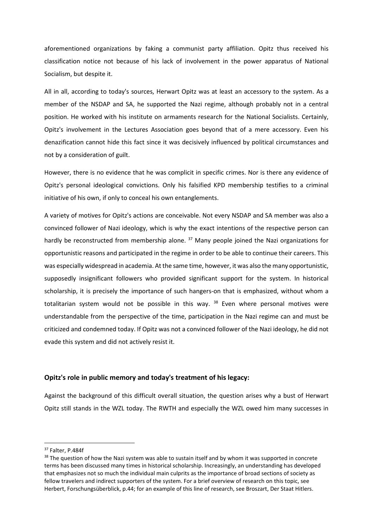aforementioned organizations by faking a communist party affiliation. Opitz thus received his classification notice not because of his lack of involvement in the power apparatus of National Socialism, but despite it.

All in all, according to today's sources, Herwart Opitz was at least an accessory to the system. As a member of the NSDAP and SA, he supported the Nazi regime, although probably not in a central position. He worked with his institute on armaments research for the National Socialists. Certainly, Opitz's involvement in the Lectures Association goes beyond that of a mere accessory. Even his denazification cannot hide this fact since it was decisively influenced by political circumstances and not by a consideration of guilt.

However, there is no evidence that he was complicit in specific crimes. Nor is there any evidence of Opitz's personal ideological convictions. Only his falsified KPD membership testifies to a criminal initiative of his own, if only to conceal his own entanglements.

A variety of motives for Opitz's actions are conceivable. Not every NSDAP and SA member was also a convinced follower of Nazi ideology, which is why the exact intentions of the respective person can hardly be reconstructed from membership alone.<sup>37</sup> Many people joined the Nazi organizations for opportunistic reasons and participated in the regime in order to be able to continue their careers. This was especially widespread in academia. At the same time, however, it was also the many opportunistic, supposedly insignificant followers who provided significant support for the system. In historical scholarship, it is precisely the importance of such hangers-on that is emphasized, without whom a totalitarian system would not be possible in this way.  $38$  Even where personal motives were understandable from the perspective of the time, participation in the Nazi regime can and must be criticized and condemned today. If Opitz was not a convinced follower of the Nazi ideology, he did not evade this system and did not actively resist it.

#### Opitz's role in public memory and today's treatment of his legacy:

Against the background of this difficult overall situation, the question arises why a bust of Herwart Opitz still stands in the WZL today. The RWTH and especially the WZL owed him many successes in

<sup>37</sup> Falter, P.484f

<sup>&</sup>lt;sup>38</sup> The question of how the Nazi system was able to sustain itself and by whom it was supported in concrete terms has been discussed many times in historical scholarship. Increasingly, an understanding has developed that emphasizes not so much the individual main culprits as the importance of broad sections of society as fellow travelers and indirect supporters of the system. For a brief overview of research on this topic, see Herbert, Forschungsüberblick, p.44; for an example of this line of research, see Broszart, Der Staat Hitlers.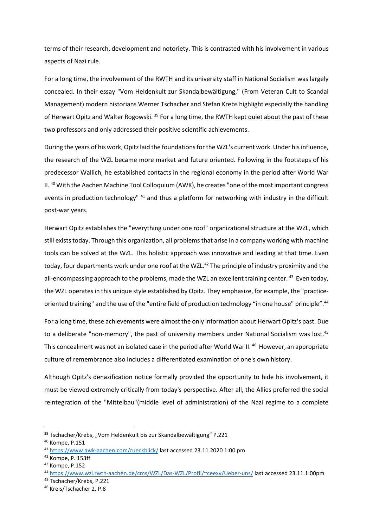terms of their research, development and notoriety. This is contrasted with his involvement in various aspects of Nazi rule.

For a long time, the involvement of the RWTH and its university staff in National Socialism was largely concealed. In their essay "Vom Heldenkult zur Skandalbewältigung," (From Veteran Cult to Scandal Management) modern historians Werner Tschacher and Stefan Krebs highlight especially the handling of Herwart Opitz and Walter Rogowski. <sup>39</sup> For a long time, the RWTH kept quiet about the past of these two professors and only addressed their positive scientific achievements.

During the years of his work, Opitz laid the foundations for the WZL's current work. Under his influence, the research of the WZL became more market and future oriented. Following in the footsteps of his predecessor Wallich, he established contacts in the regional economy in the period after World War II.<sup>40</sup> With the Aachen Machine Tool Colloquium (AWK), he creates "one of the most important congress events in production technology" <sup>41</sup> and thus a platform for networking with industry in the difficult post-war years.

Herwart Opitz establishes the "everything under one roof" organizational structure at the WZL, which still exists today. Through this organization, all problems that arise in a company working with machine tools can be solved at the WZL. This holistic approach was innovative and leading at that time. Even today, four departments work under one roof at the WZL.<sup>42</sup> The principle of industry proximity and the all-encompassing approach to the problems, made the WZL an excellent training center.  $43$  Even today, the WZL operates in this unique style established by Opitz. They emphasize, for example, the "practiceoriented training" and the use of the "entire field of production technology "in one house" principle".<sup>44</sup>

For a long time, these achievements were almost the only information about Herwart Opitz's past. Due to a deliberate "non-memory", the past of university members under National Socialism was lost.<sup>45</sup> This concealment was not an isolated case in the period after World War II.<sup>46</sup> However, an appropriate culture of remembrance also includes a differentiated examination of one's own history.

Although Opitz's denazification notice formally provided the opportunity to hide his involvement, it must be viewed extremely critically from today's perspective. After all, the Allies preferred the social reintegration of the "Mittelbau"(middle level of administration) of the Nazi regime to a complete

<sup>&</sup>lt;sup>39</sup> Tschacher/Krebs, "Vom Heldenkult bis zur Skandalbewältigung" P.221

<sup>40</sup> Kompe, P.151

<sup>41</sup> https://www.awk-aachen.com/rueckblick/ last accessed 23.11.2020 1:00 pm

<sup>42</sup> Kompe, P. 153ff

<sup>43</sup> Kompe, P.152

<sup>44</sup> https://www.wzl.rwth-aachen.de/cms/WZL/Das-WZL/Profil/~ceexv/Ueber-uns/ last accessed 23.11.1:00pm

<sup>45</sup> Tschacher/Krebs, P.221

<sup>46</sup> Kreis/Tschacher 2, P.8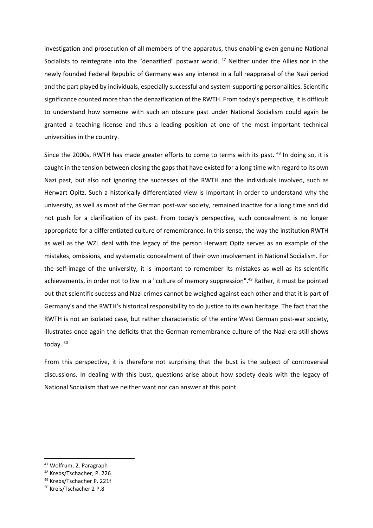investigation and prosecution of all members of the apparatus, thus enabling even genuine National Socialists to reintegrate into the "denazified" postwar world. <sup>47</sup> Neither under the Allies nor in the newly founded Federal Republic of Germany was any interest in a full reappraisal of the Nazi period and the part played by individuals, especially successful and system-supporting personalities. Scientific significance counted more than the denazification of the RWTH. From today's perspective, it is difficult to understand how someone with such an obscure past under National Socialism could again be granted a teaching license and thus a leading position at one of the most important technical universities in the country.

Since the 2000s, RWTH has made greater efforts to come to terms with its past. <sup>48</sup> In doing so, it is caught in the tension between closing the gaps that have existed for a long time with regard to its own Nazi past, but also not ignoring the successes of the RWTH and the individuals involved, such as Herwart Opitz. Such a historically differentiated view is important in order to understand why the university, as well as most of the German post-war society, remained inactive for a long time and did not push for a clarification of its past. From today's perspective, such concealment is no longer appropriate for a differentiated culture of remembrance. In this sense, the way the institution RWTH as well as the WZL deal with the legacy of the person Herwart Opitz serves as an example of the mistakes, omissions, and systematic concealment of their own involvement in National Socialism. For the self-image of the university, it is important to remember its mistakes as well as its scientific achievements, in order not to live in a "culture of memory suppression".<sup>49</sup> Rather, it must be pointed out that scientific success and Nazi crimes cannot be weighed against each other and that it is part of Germany's and the RWTH's historical responsibility to do justice to its own heritage. The fact that the RWTH is not an isolated case, but rather characteristic of the entire West German post-war society, illustrates once again the deficits that the German remembrance culture of the Nazi era still shows today.<sup>50</sup>

From this perspective, it is therefore not surprising that the bust is the subject of controversial discussions. In dealing with this bust, questions arise about how society deals with the legacy of National Socialism that we neither want nor can answer at this point.

<sup>47</sup> Wolfrum, 2. Paragraph

<sup>48</sup> Krebs/Tschacher, P. 226

<sup>49</sup> Krebs/Tschacher P. 221f

<sup>50</sup> Kreis/Tschacher 2 P.8